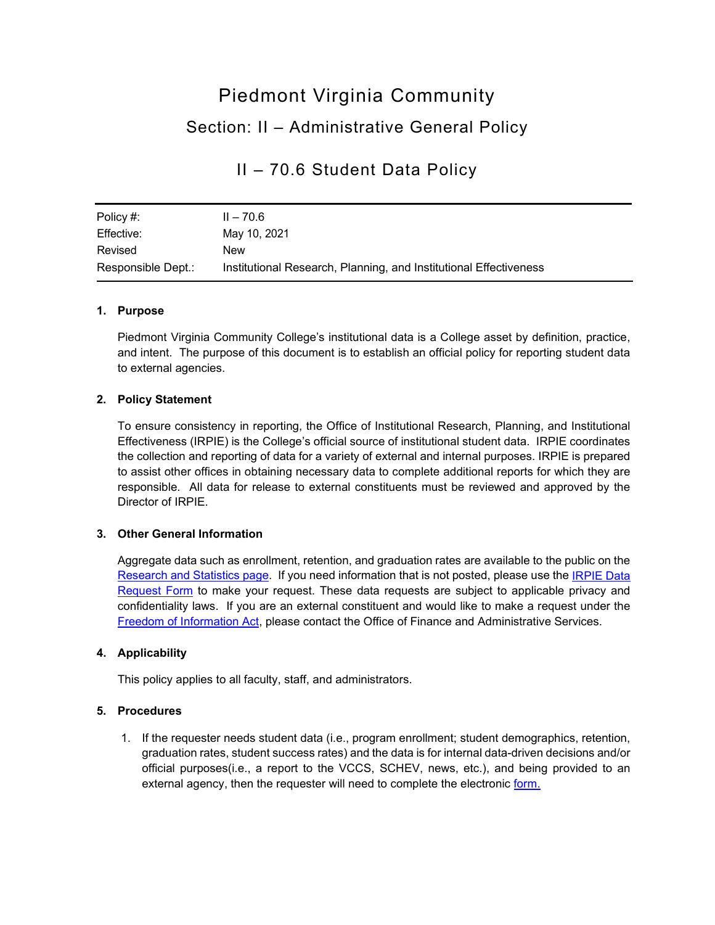# Piedmont Virginia Community Section: II – Administrative General Policy

## II – 70.6 Student Data Policy

| Policy #:          | $II - 70.6$                                                       |
|--------------------|-------------------------------------------------------------------|
| Effective:         | May 10, 2021                                                      |
| Revised            | New                                                               |
| Responsible Dept.: | Institutional Research, Planning, and Institutional Effectiveness |

#### **1. Purpose**

Piedmont Virginia Community College's institutional data is a College asset by definition, practice, and intent. The purpose of this document is to establish an official policy for reporting student data to external agencies.

#### **2. Policy Statement**

To ensure consistency in reporting, the Office of Institutional Research, Planning, and Institutional Effectiveness (IRPIE) is the College's official source of institutional student data. IRPIE coordinates the collection and reporting of data for a variety of external and internal purposes. IRPIE is prepared to assist other offices in obtaining necessary data to complete additional reports for which they are responsible. All data for release to external constituents must be reviewed and approved by the Director of IRPIE.

### **3. Other General Information**

Aggregate data such as enrollment, retention, and graduation rates are available to the public on the [Research and Statistics page.](https://www.pvcc.edu/research-statistics) If you need information that is not posted, please use the [IRPIE Data](https://app.keysurvey.com/f/1212244/f71b/)  [Request Form](https://app.keysurvey.com/f/1212244/f71b/) to make your request. These data requests are subject to applicable privacy and confidentiality laws. If you are an external constituent and would like to make a request under the [Freedom of Information Act,](https://www.pvcc.edu/sites/default/files/media/policy_foia.pdf) please contact the Office of Finance and Administrative Services.

#### **4. Applicability**

This policy applies to all faculty, staff, and administrators.

#### **5. Procedures**

1. If the requester needs student data (i.e., program enrollment; student demographics, retention, graduation rates, student success rates) and the data is for internal data-driven decisions and/or official purposes(i.e., a report to the VCCS, SCHEV, news, etc.), and being provided to an external agency, then the requester will need to complete the electronic [form.](https://app.keysurvey.com/f/1212244/f71b/)